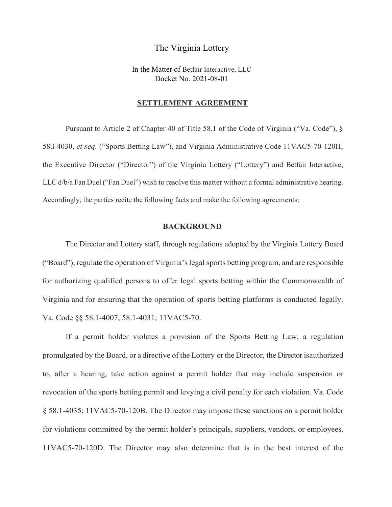## The Virginia Lottery

In the Matter of Betfair Interactive, LLC Docket No. 2021-08-01

## **SETTLEMENT AGREEMENT**

Pursuant to Article 2 of Chapter 40 of Title 58.1 of the Code of Virginia ("Va. Code"), § 58.l-4030, *et seq.* ("Sports Betting Law"), and Virginia Administrative Code 11VAC5-70-120H, the Executive Director ("Director") of the Virginia Lottery ("Lottery") and Betfair Interactive, LLC d/b/a Fan Duel ("Fan Duel") wish to resolve this matter without a formal administrative hearing. Accordingly, the parties recite the following facts and make the following agreements:

## **BACKGROUND**

The Director and Lottery staff, through regulations adopted by the Virginia Lottery Board ("Board"), regulate the operation of Virginia's legal sports betting program, and are responsible for authorizing qualified persons to offer legal sports betting within the Commonwealth of Virginia and for ensuring that the operation of sports betting platforms is conducted legally. Va. Code §§ 58.1-4007, 58.1-4031; 11VAC5-70.

If a permit holder violates a provision of the Sports Betting Law, a regulation promulgated by the Board, or a directive of the Lottery or the Director, the Director isauthorized to, after a hearing, take action against a permit holder that may include suspension or revocation of the sports betting permit and levying a civil penalty for each violation. Va. Code § 58.1-4035; 11VAC5-70-120B. The Director may impose these sanctions on a permit holder for violations committed by the permit holder's principals, suppliers, vendors, or employees. 11VAC5-70-120D. The Director may also determine that is in the best interest of the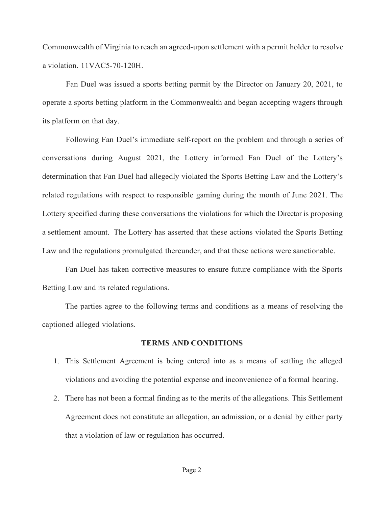Commonwealth of Virginia to reach an agreed-upon settlement with a permit holder to resolve a violation. 11VAC5-70-120H.

Fan Duel was issued a sports betting permit by the Director on January 20, 2021, to operate a sports betting platform in the Commonwealth and began accepting wagers through its platform on that day.

Following Fan Duel's immediate self-report on the problem and through a series of conversations during August 2021, the Lottery informed Fan Duel of the Lottery's determination that Fan Duel had allegedly violated the Sports Betting Law and the Lottery's related regulations with respect to responsible gaming during the month of June 2021. The Lottery specified during these conversations the violations for which the Director is proposing a settlement amount. The Lottery has asserted that these actions violated the Sports Betting Law and the regulations promulgated thereunder, and that these actions were sanctionable.

Fan Duel has taken corrective measures to ensure future compliance with the Sports Betting Law and its related regulations.

The parties agree to the following terms and conditions as a means of resolving the captioned alleged violations.

## **TERMS AND CONDITIONS**

- 1. This Settlement Agreement is being entered into as a means of settling the alleged violations and avoiding the potential expense and inconvenience of a formal hearing.
- 2. There has not been a formal finding as to the merits of the allegations. This Settlement Agreement does not constitute an allegation, an admission, or a denial by either party that a violation of law or regulation has occurred.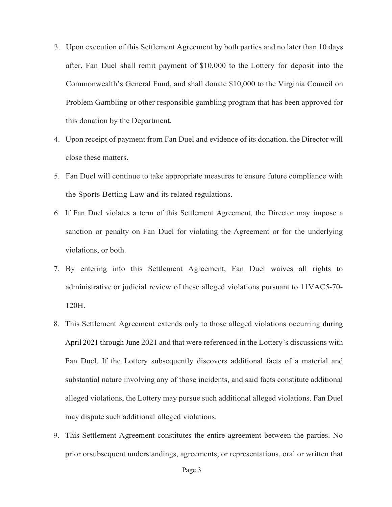- 3. Upon execution of this Settlement Agreement by both parties and no later than 10 days after, Fan Duel shall remit payment of \$10,000 to the Lottery for deposit into the Commonwealth's General Fund, and shall donate \$10,000 to the Virginia Council on Problem Gambling or other responsible gambling program that has been approved for this donation by the Department.
- 4. Upon receipt of payment from Fan Duel and evidence of its donation, the Director will close these matters.
- 5. Fan Duel will continue to take appropriate measures to ensure future compliance with the Sports Betting Law and its related regulations.
- 6. If Fan Duel violates a term of this Settlement Agreement, the Director may impose a sanction or penalty on Fan Duel for violating the Agreement or for the underlying violations, or both.
- 7. By entering into this Settlement Agreement, Fan Duel waives all rights to administrative or judicial review of these alleged violations pursuant to 11VAC5-70- 120H.
- 8. This Settlement Agreement extends only to those alleged violations occurring during April 2021 through June 2021 and that were referenced in the Lottery's discussions with Fan Duel. If the Lottery subsequently discovers additional facts of a material and substantial nature involving any of those incidents, and said facts constitute additional alleged violations, the Lottery may pursue such additional alleged violations. Fan Duel may dispute such additional alleged violations.
- 9. This Settlement Agreement constitutes the entire agreement between the parties. No prior orsubsequent understandings, agreements, or representations, oral or written that